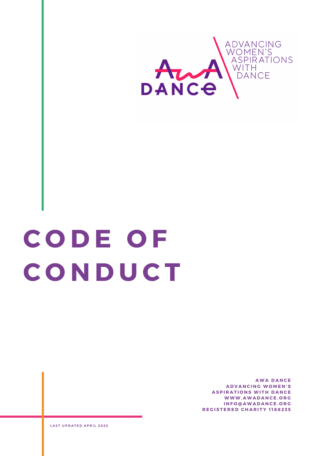

## **C O D E O F C O N D U C T**

**A W A D A N C E A D V A N C I N G W O M E N ' S ASPIRATIONS WITH DANCE W W W . A W A D A N C E . O R G I N F O @ A W A D A N C E . O R G R E G I S T E R E D C H A R I T Y 1 1 8 8 2 3 5**

**L A S T U P D A T E D A P R I L 2 0 2 2**